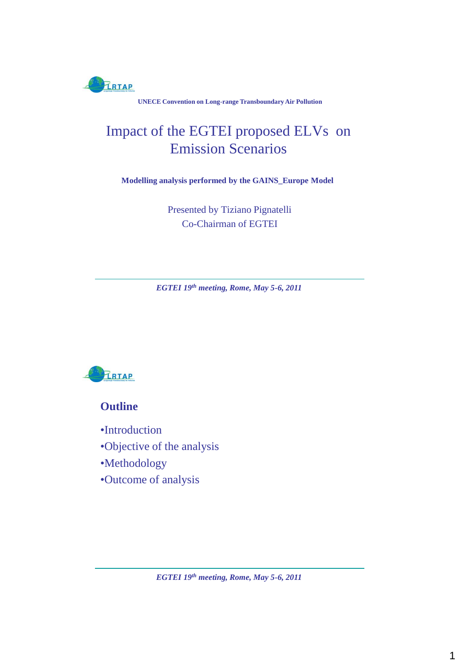

**UNECE Convention on Long-range Transboundary Air Pollution**

# Impact of the EGTEI proposed ELVs on Emission Scenarios

**Modelling analysis performed by the GAINS\_Europe Model**

Presented by Tiziano Pignatelli Co-Chairman of EGTEI

*EGTEI 19th meeting, Rome, May 5-6, 2011*



**Outline**

- •Introduction
- •Objective of the analysis
- •Methodology
- •Outcome of analysis

*EGTEI 19th meeting, Rome, May 5-6, 2011*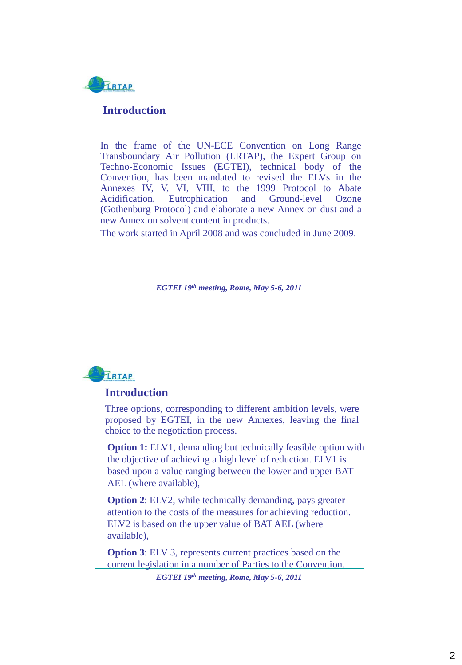

#### **Introduction**

In the frame of the UN-ECE Convention on Long Range Transboundary Air Pollution (LRTAP), the Expert Group on Techno-Economic Issues (EGTEI), technical body of the Convention, has been mandated to revised the ELVs in the Annexes IV, V, VI, VIII, to the 1999 Protocol to Abate Acidification, Eutrophication and Ground-level Ozone (Gothenburg Protocol) and elaborate a new Annex on dust and a new Annex on solvent content in products.

The work started in April 2008 and was concluded in June 2009.

*EGTEI 19th meeting, Rome, May 5-6, 2011*



### **Introduction**

Three options, corresponding to different ambition levels, were proposed by EGTEI, in the new Annexes, leaving the final choice to the negotiation process.

**Option 1:** ELV1, demanding but technically feasible option with the objective of achieving a high level of reduction. ELV1 is based upon a value ranging between the lower and upper BAT AEL (where available),

**Option 2**: ELV2, while technically demanding, pays greater attention to the costs of the measures for achieving reduction. ELV2 is based on the upper value of BAT AEL (where available),

**Option 3**: ELV 3, represents current practices based on the current legislation in a number of Parties to the Convention.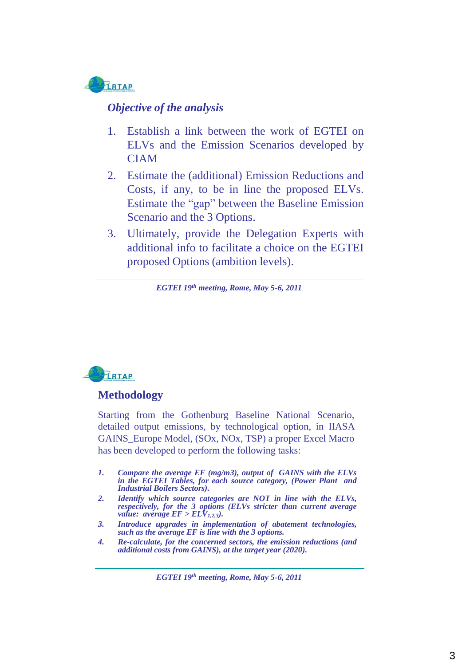

### *Objective of the analysis*

- 1. Establish a link between the work of EGTEI on ELVs and the Emission Scenarios developed by CIAM
- 2. Estimate the (additional) Emission Reductions and Costs, if any, to be in line the proposed ELVs. Estimate the "gap" between the Baseline Emission Scenario and the 3 Options.
- 3. Ultimately, provide the Delegation Experts with additional info to facilitate a choice on the EGTEI proposed Options (ambition levels).

*EGTEI 19th meeting, Rome, May 5-6, 2011*



### **Methodology**

Starting from the Gothenburg Baseline National Scenario, detailed output emissions, by technological option, in IIASA GAINS\_Europe Model, (SOx, NOx, TSP) a proper Excel Macro has been developed to perform the following tasks:

- *1. Compare the average EF (mg/m3), output of GAINS with the ELVs in the EGTEI Tables, for each source category, (Power Plant and Industrial Boilers Sectors).*
- *2. Identify which source categories are NOT in line with the ELVs, respectively, for the 3 options (ELVs stricter than current average value: average*  $EF > ELV_{1,2,3}$ *).*
- *3. Introduce upgrades in implementation of abatement technologies, such as the average EF is line with the 3 options.*
- *4. Re-calculate, for the concerned sectors, the emission reductions (and additional costs from GAINS), at the target year (2020).*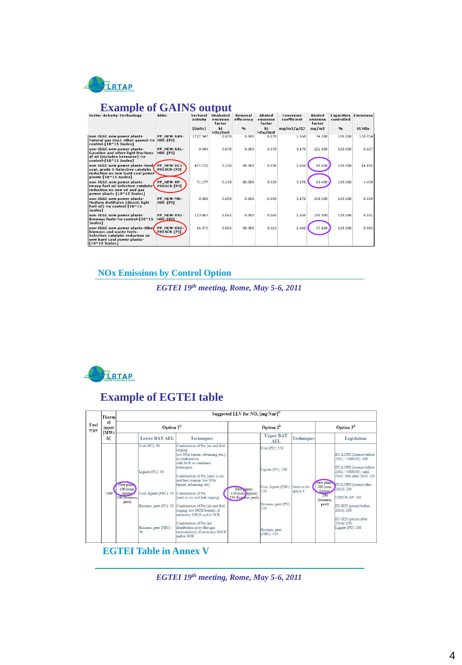

## **Example of GAINS output**

| Sector-Activity-Technology                                                                                                                         | Abbr.                             | Sectoral<br>activity | <b>Unabated</b><br>emission<br>factor | Removal<br>efficiency     | Abated<br>emission<br>factor | Coversion<br>coefficient | Abated<br>emission<br>factor | <b>Capacities : Emissions</b><br>controlled |                    |
|----------------------------------------------------------------------------------------------------------------------------------------------------|-----------------------------------|----------------------|---------------------------------------|---------------------------|------------------------------|--------------------------|------------------------------|---------------------------------------------|--------------------|
|                                                                                                                                                    |                                   | [Units]              | kt<br>NOx/Unit                        | $\mathbf{e}_{\mathbf{a}}$ | kt<br>NOx/Unit               | mg/m3/g/GJ               | mg/m3                        | 9 <sub>0</sub>                              | kt NO <sub>x</sub> |
| non-IGGC new power plants-<br>Natural gas (incl. other gases)-No<br>control-[10^15 Joules]                                                         | PP NEW-GAS-<br><b>NOC-[PJ]</b>    | 1727.347             | 0.070                                 | 0.000                     | 0.070                        | 1.060                    | 74.200                       | 100.000                                     | 120.914            |
| non-IGGC new power plants-<br><b>Gasoline and other light fractions</b><br>of oil (includes kerosene)-No<br>control-[10^15 Joules]                 | PP NEW-GSL-<br><b>NOC-FPJ1</b>    | 0.384                | 0.070                                 | 0.000                     | 0.070                        | 3.170                    | 221.900                      | 100,000                                     | 0.027              |
| non-IGGC new power plants-Hard/<br>coal, grade 1-Selective catalytic<br>reduction on new hard coal power<br>plants-[10^15 Joules]                  | PP NEW-HC1-<br>PHCSCR-[PJ]        | 471.725              | 0.150                                 | 80.000                    | 0.030                        | 2,860                    | 85.800                       | 100.000                                     | 14.152             |
| non-IGGC new power plants-<br><b>Heavy fuel oil-Selective catalytic</b><br>reduction on new oil and gas<br>power plants-[10^15 Joules]             | PP_NEW-HF-<br><b>POGSCR-[PJ]</b>  | 71.177               | 0.100                                 | 80,000                    | 0.020                        | 3.170                    | 63.400                       | 100.000                                     | 1.424              |
| non-IGGC new power plants-<br>Medium distillates (diesel, light<br>fuel oil)-No control-[10^15<br><b>Joules1</b>                                   | PP NEW-MD-<br>NOC-[PJ]            | 0.384                | 0.050                                 | 0.000                     | 0.050                        | 3.170                    | 158.500                      | 100.000                                     | 0.019              |
| non-IGGC new power plants-<br>Biomass fuels-No control-[10^15<br>Joules]                                                                           | PP NEW-OS1-<br><b>NOC-FPJ1</b>    | 123.867              | 0.065                                 | 0.000                     | 0.065                        | 2,860                    | 185,900                      | 100.000                                     | 8.051              |
| non-IGGC new power plants-Other<br>hiomass and waste fuels-<br>Selective catalytic reduction on<br>new hard coal power plants-<br>$[10^15$ Joules] | PP NEW-0S2-<br><b>PHCSCR-[PJ]</b> | 66.373               | 0.065                                 | 80.000                    | 0.013                        | 2.860                    | 37.180                       | 100.000                                     | 0.863              |

### **NOx Emissions by Control Option**

*EGTEI 19th meeting, Rome, May 5-6, 2011*



# **Example of EGTEI table**

| Fuel<br>type | Therm<br>al<br>input | Suggested ELV for NO <sub>x</sub> [mg/Nm <sup>3]b/</sup>      |                                                                                                                      |                                                                                                                                                                                                                                                                                                                                                                                                                                                                                                        |                                                           |                                                                                                                                 |                         |                                                                    |                                                                                                                                                                                                                                                                                                               |  |
|--------------|----------------------|---------------------------------------------------------------|----------------------------------------------------------------------------------------------------------------------|--------------------------------------------------------------------------------------------------------------------------------------------------------------------------------------------------------------------------------------------------------------------------------------------------------------------------------------------------------------------------------------------------------------------------------------------------------------------------------------------------------|-----------------------------------------------------------|---------------------------------------------------------------------------------------------------------------------------------|-------------------------|--------------------------------------------------------------------|---------------------------------------------------------------------------------------------------------------------------------------------------------------------------------------------------------------------------------------------------------------------------------------------------------------|--|
|              |                      | Option $1^{\nu}$                                              |                                                                                                                      |                                                                                                                                                                                                                                                                                                                                                                                                                                                                                                        | Option $2^U$                                              |                                                                                                                                 |                         | Option $3^U$                                                       |                                                                                                                                                                                                                                                                                                               |  |
|              | MWt<br>$\mathbf{h}$  |                                                               | <b>Lower BAT AEL</b>                                                                                                 | <b>Techniques</b>                                                                                                                                                                                                                                                                                                                                                                                                                                                                                      |                                                           | <b>Upper BAT</b><br><b>AEL</b>                                                                                                  | <b>Techniques</b>       |                                                                    | Legislation                                                                                                                                                                                                                                                                                                   |  |
|              | >300                 | New plane<br>100 (coal,<br>lignite)<br>100 (biomass,<br>peat) | Coal (PC): 90<br>Lignite (PC): 50<br>Coal, lignite (FBC): 50<br>Biomass, peat (PC): 50<br>Biomass, peat (FBC):<br>50 | Combination of Pm (air and fuel-<br>staging.<br>low NOx burner, reburning, etc.),<br>in combination<br>with SCR or combined<br>techniques<br>Combination of Pm (such as air<br>and fuel-staging, low NOx<br>burner, reburning, etc)<br>Combination of Pm<br>(such as air and fuel-staging)<br>Combination of Pm (air and fuel<br>staging, low NOX burner), if<br>necessary SNCR and/or SCR<br>Combination of Pm (air<br>distribution or by flue-gas<br>recirculation), if necessary SNCR<br>and/or SCR | New plants:<br>150 (coal, lignite)<br>150 (biomass, peat) | Coal (PC): 150<br>Lignite (PC): 200<br>Coal, lignite (FBC):<br>150<br>Biomass, peat (PC):<br>150<br>Biomass, peat<br>(FBC): 150 | Same as for<br>option 1 | New plants<br>200 (coal.<br>lignite).<br>200<br>(biomass.<br>peat) | EU-LCPD:(licence before<br>2002, <500MW): 600<br>EU-LCPD:(licence before<br>2002, >500MW): until<br>2016: 500: after 2016: 200<br><b>EU-LCPD:</b> (licence after<br>2002): 200<br><b>UNECE-GP: 200</b><br>EU-IED (permit before<br>$2014$ : 200<br>EU-IED (permit after<br>$2014$ : 150;<br>Lignite (PC): 200 |  |

#### **EGTEI Table in Annex V**

*EGTEI 19th meeting, Rome, May 5-6, 2011*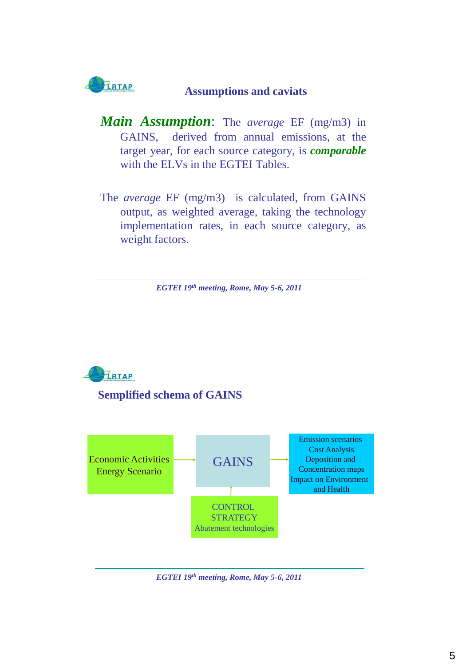

### **Assumptions and caviats**

- *Main Assumption*: The *average* EF (mg/m3) in GAINS, derived from annual emissions, at the target year, for each source category, is *comparable* with the ELVs in the EGTEI Tables.
- The *average* EF (mg/m3) is calculated, from GAINS output, as weighted average, taking the technology implementation rates, in each source category, as weight factors.

*EGTEI 19th meeting, Rome, May 5-6, 2011*





*EGTEI 19th meeting, Rome, May 5-6, 2011*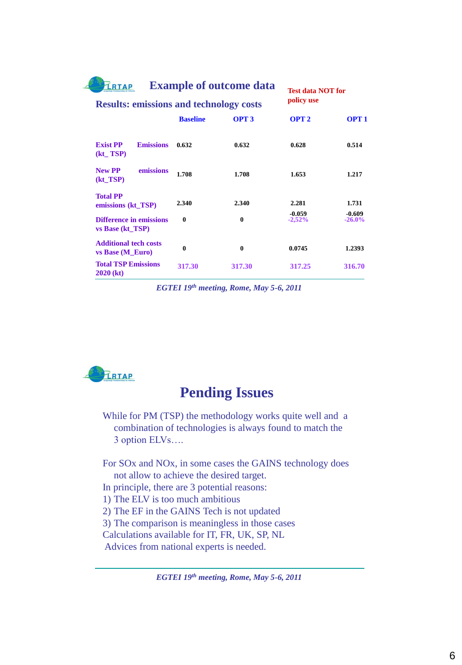| <b>LRTAP</b>                                       |                                                | <b>Example of outcome data</b> | <b>Test data NOT for</b> |                      |  |  |
|----------------------------------------------------|------------------------------------------------|--------------------------------|--------------------------|----------------------|--|--|
|                                                    | <b>Results: emissions and technology costs</b> |                                |                          |                      |  |  |
|                                                    | <b>Baseline</b>                                | OPT <sub>3</sub>               | OPT <sub>2</sub>         | OPT <sub>1</sub>     |  |  |
| <b>Exist PP</b><br><b>Emissions</b><br>$(kt_TSP)$  | 0.632                                          | 0.632                          | 0.628                    | 0.514                |  |  |
| emissions<br><b>New PP</b><br>$(kt_TSP)$           | 1.708                                          | 1.708                          | 1.653                    | 1.217                |  |  |
| <b>Total PP</b><br>emissions (kt_TSP)              | 2.340                                          | 2.340                          | 2.281                    | 1.731                |  |  |
| <b>Difference in emissions</b><br>vs Base (kt_TSP) | $\mathbf{0}$                                   | $\mathbf{0}$                   | $-0.059$<br>$-2,52%$     | $-0.609$<br>$-26.0%$ |  |  |
| <b>Additional tech costs</b><br>vs Base (M_Euro)   | $\mathbf{0}$                                   | $\mathbf{0}$                   | 0.0745                   | 1.2393               |  |  |
| <b>Total TSP Emissions</b><br>$2020$ (kt)          | 317.30                                         | 317.30                         | 317.25                   | 316.70               |  |  |

*EGTEI 19th meeting, Rome, May 5-6, 2011*



# **Pending Issues**

While for PM (TSP) the methodology works quite well and a combination of technologies is always found to match the 3 option ELVs….

For SOx and NOx, in some cases the GAINS technology does not allow to achieve the desired target.

- In principle, there are 3 potential reasons:
- 1) The ELV is too much ambitious
- 2) The EF in the GAINS Tech is not updated

3) The comparison is meaningless in those cases

Calculations available for IT, FR, UK, SP, NL

Advices from national experts is needed.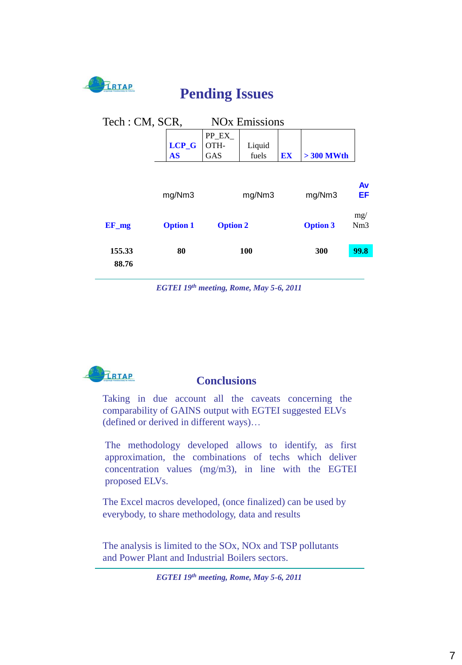

**Pending Issues**

| <b>NO<sub>x</sub></b> Emissions<br>Tech: CM, SCR, |                      |                              |                 |                 |             |          |  |  |
|---------------------------------------------------|----------------------|------------------------------|-----------------|-----------------|-------------|----------|--|--|
|                                                   | $LCP_G$<br><b>AS</b> | PP_EX_<br>OTH-<br><b>GAS</b> | Liquid<br>fuels | EX              | $>300$ MWth |          |  |  |
|                                                   | mg/Nm3               |                              | mg/Nm3          |                 | mg/Nm3      | Av<br>ΕF |  |  |
| $EF_m$                                            | <b>Option 1</b>      | <b>Option 2</b>              |                 | <b>Option 3</b> | mg/<br>Nm3  |          |  |  |
| 155.33<br>88.76                                   | 80                   |                              | 100             |                 | 300         | 99.8     |  |  |

*EGTEI 19th meeting, Rome, May 5-6, 2011*



### **Conclusions**

Taking in due account all the caveats concerning the comparability of GAINS output with EGTEI suggested ELVs (defined or derived in different ways)…

The methodology developed allows to identify, as first approximation, the combinations of techs which deliver concentration values (mg/m3), in line with the EGTEI proposed ELVs.

The Excel macros developed, (once finalized) can be used by everybody, to share methodology, data and results

The analysis is limited to the SOx, NOx and TSP pollutants and Power Plant and Industrial Boilers sectors.

*EGTEI 19th meeting, Rome, May 5-6, 2011*